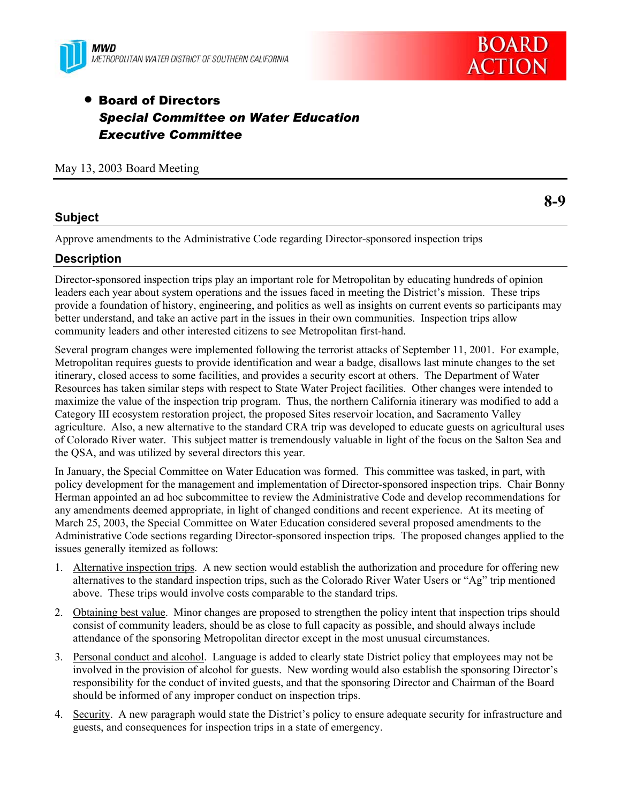



# **• Board of Directors** *Special Committee on Water Education Executive Committee*

May 13, 2003 Board Meeting

#### **Subject**

**8-9** 

Approve amendments to the Administrative Code regarding Director-sponsored inspection trips

### **Description**

Director-sponsored inspection trips play an important role for Metropolitan by educating hundreds of opinion leaders each year about system operations and the issues faced in meeting the District's mission. These trips provide a foundation of history, engineering, and politics as well as insights on current events so participants may better understand, and take an active part in the issues in their own communities. Inspection trips allow community leaders and other interested citizens to see Metropolitan first-hand.

Several program changes were implemented following the terrorist attacks of September 11, 2001. For example, Metropolitan requires guests to provide identification and wear a badge, disallows last minute changes to the set itinerary, closed access to some facilities, and provides a security escort at others. The Department of Water Resources has taken similar steps with respect to State Water Project facilities. Other changes were intended to maximize the value of the inspection trip program. Thus, the northern California itinerary was modified to add a Category III ecosystem restoration project, the proposed Sites reservoir location, and Sacramento Valley agriculture. Also, a new alternative to the standard CRA trip was developed to educate guests on agricultural uses of Colorado River water. This subject matter is tremendously valuable in light of the focus on the Salton Sea and the QSA, and was utilized by several directors this year.

In January, the Special Committee on Water Education was formed. This committee was tasked, in part, with policy development for the management and implementation of Director-sponsored inspection trips. Chair Bonny Herman appointed an ad hoc subcommittee to review the Administrative Code and develop recommendations for any amendments deemed appropriate, in light of changed conditions and recent experience. At its meeting of March 25, 2003, the Special Committee on Water Education considered several proposed amendments to the Administrative Code sections regarding Director-sponsored inspection trips. The proposed changes applied to the issues generally itemized as follows:

- 1. Alternative inspection trips. A new section would establish the authorization and procedure for offering new alternatives to the standard inspection trips, such as the Colorado River Water Users or "Ag" trip mentioned above. These trips would involve costs comparable to the standard trips.
- 2. Obtaining best value. Minor changes are proposed to strengthen the policy intent that inspection trips should consist of community leaders, should be as close to full capacity as possible, and should always include attendance of the sponsoring Metropolitan director except in the most unusual circumstances.
- 3. Personal conduct and alcohol. Language is added to clearly state District policy that employees may not be involved in the provision of alcohol for guests. New wording would also establish the sponsoring Director's responsibility for the conduct of invited guests, and that the sponsoring Director and Chairman of the Board should be informed of any improper conduct on inspection trips.
- 4. Security. A new paragraph would state the District's policy to ensure adequate security for infrastructure and guests, and consequences for inspection trips in a state of emergency.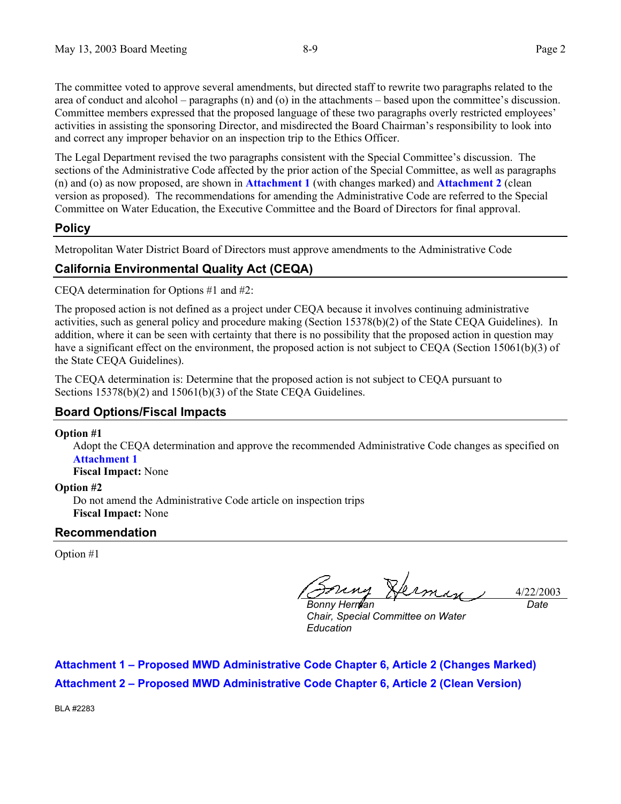The committee voted to approve several amendments, but directed staff to rewrite two paragraphs related to the area of conduct and alcohol – paragraphs (n) and (o) in the attachments – based upon the committee's discussion. Committee members expressed that the proposed language of these two paragraphs overly restricted employees' activities in assisting the sponsoring Director, and misdirected the Board Chairman's responsibility to look into and correct any improper behavior on an inspection trip to the Ethics Officer.

The Legal Department revised the two paragraphs consistent with the Special Committee's discussion. The sections of the Administrative Code affected by the prior action of the Special Committee, as well as paragraphs (n) and (o) as now proposed, are shown in **Attachment 1** (with changes marked) and **Attachment 2** (clean version as proposed). The recommendations for amending the Administrative Code are referred to the Special Committee on Water Education, the Executive Committee and the Board of Directors for final approval.

### **Policy**

Metropolitan Water District Board of Directors must approve amendments to the Administrative Code

### **California Environmental Quality Act (CEQA)**

CEQA determination for Options #1 and #2:

The proposed action is not defined as a project under CEQA because it involves continuing administrative activities, such as general policy and procedure making (Section 15378(b)(2) of the State CEQA Guidelines). In addition, where it can be seen with certainty that there is no possibility that the proposed action in question may have a significant effect on the environment, the proposed action is not subject to CEQA (Section 15061(b)(3) of the State CEQA Guidelines).

The CEQA determination is: Determine that the proposed action is not subject to CEQA pursuant to Sections 15378(b)(2) and 15061(b)(3) of the State CEQA Guidelines.

### **Board Options/Fiscal Impacts**

#### **Option #1**

Adopt the CEQA determination and approve the recommended Administrative Code changes as specified on **Attachment 1**

**Fiscal Impact:** None

#### **Option #2**

Do not amend the Administrative Code article on inspection trips **Fiscal Impact:** None

### **Recommendation**

Option #1

4/22/2003 *Date*

*Bonny Herman Chair, Special Committee on Water Education* 

**Attachment 1 – Proposed MWD Administrative Code Chapter 6, Article 2 (Changes Marked) Attachment 2 – Proposed MWD Administrative Code Chapter 6, Article 2 (Clean Version)**

BLA #2283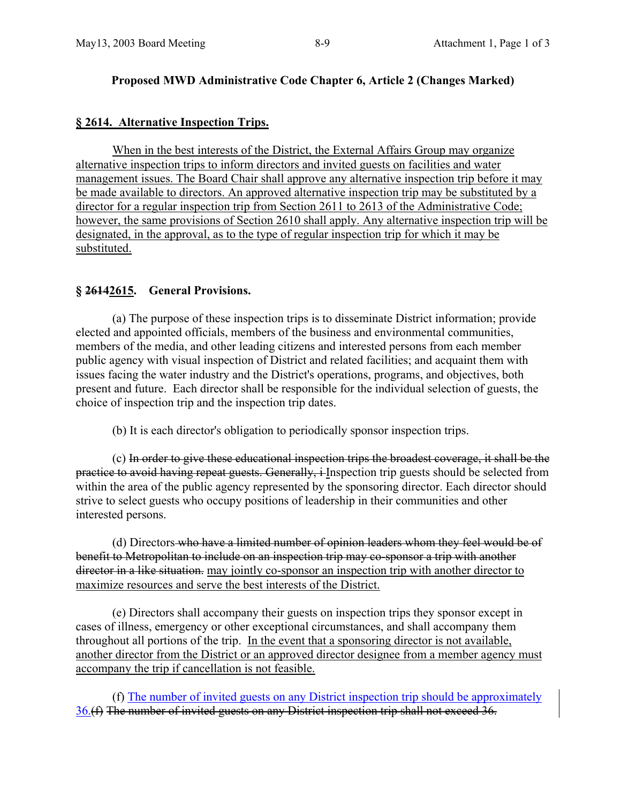### **Proposed MWD Administrative Code Chapter 6, Article 2 (Changes Marked)**

## **§ 2614. Alternative Inspection Trips.**

 When in the best interests of the District, the External Affairs Group may organize alternative inspection trips to inform directors and invited guests on facilities and water management issues. The Board Chair shall approve any alternative inspection trip before it may be made available to directors. An approved alternative inspection trip may be substituted by a director for a regular inspection trip from Section 2611 to 2613 of the Administrative Code; however, the same provisions of Section 2610 shall apply. Any alternative inspection trip will be designated, in the approval, as to the type of regular inspection trip for which it may be substituted.

# **§ 26142615. General Provisions.**

 (a) The purpose of these inspection trips is to disseminate District information; provide elected and appointed officials, members of the business and environmental communities, members of the media, and other leading citizens and interested persons from each member public agency with visual inspection of District and related facilities; and acquaint them with issues facing the water industry and the District's operations, programs, and objectives, both present and future. Each director shall be responsible for the individual selection of guests, the choice of inspection trip and the inspection trip dates.

(b) It is each director's obligation to periodically sponsor inspection trips.

 (c) In order to give these educational inspection trips the broadest coverage, it shall be the practice to avoid having repeat guests. Generally, i Inspection trip guests should be selected from within the area of the public agency represented by the sponsoring director. Each director should strive to select guests who occupy positions of leadership in their communities and other interested persons.

(d) Directors who have a limited number of opinion leaders whom they feel would be of benefit to Metropolitan to include on an inspection trip may co-sponsor a trip with another director in a like situation. may jointly co-sponsor an inspection trip with another director to maximize resources and serve the best interests of the District.

 (e) Directors shall accompany their guests on inspection trips they sponsor except in cases of illness, emergency or other exceptional circumstances, and shall accompany them throughout all portions of the trip. In the event that a sponsoring director is not available, another director from the District or an approved director designee from a member agency must accompany the trip if cancellation is not feasible.

 (f) The number of invited guests on any District inspection trip should be approximately 36.(f) The number of invited guests on any District inspection trip shall not exceed 36.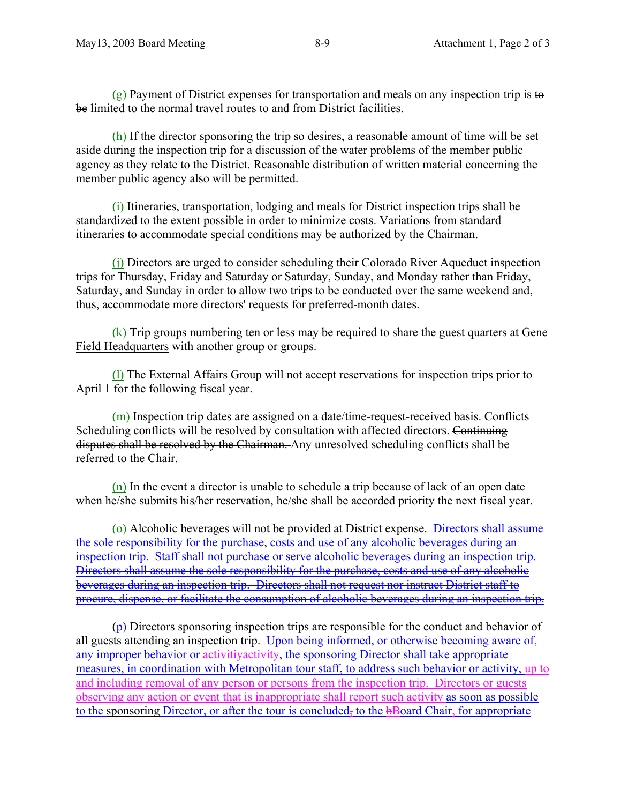(g) Payment of District expenses for transportation and meals on any inspection trip is to be limited to the normal travel routes to and from District facilities.

(h) If the director sponsoring the trip so desires, a reasonable amount of time will be set aside during the inspection trip for a discussion of the water problems of the member public agency as they relate to the District. Reasonable distribution of written material concerning the member public agency also will be permitted.

(i) Itineraries, transportation, lodging and meals for District inspection trips shall be standardized to the extent possible in order to minimize costs. Variations from standard itineraries to accommodate special conditions may be authorized by the Chairman.

(j) Directors are urged to consider scheduling their Colorado River Aqueduct inspection trips for Thursday, Friday and Saturday or Saturday, Sunday, and Monday rather than Friday, Saturday, and Sunday in order to allow two trips to be conducted over the same weekend and, thus, accommodate more directors' requests for preferred-month dates.

 $(k)$  Trip groups numbering ten or less may be required to share the guest quarters at Gene Field Headquarters with another group or groups.

(l) The External Affairs Group will not accept reservations for inspection trips prior to April 1 for the following fiscal year.

(m) Inspection trip dates are assigned on a date/time-request-received basis. Conflicts Scheduling conflicts will be resolved by consultation with affected directors. Continuing disputes shall be resolved by the Chairman. Any unresolved scheduling conflicts shall be referred to the Chair.

(n) In the event a director is unable to schedule a trip because of lack of an open date when he/she submits his/her reservation, he/she shall be accorded priority the next fiscal year.

(o) Alcoholic beverages will not be provided at District expense. Directors shall assume the sole responsibility for the purchase, costs and use of any alcoholic beverages during an inspection trip. Staff shall not purchase or serve alcoholic beverages during an inspection trip. Directors shall assume the sole responsibility for the purchase, costs and use of any alcoholic beverages during an inspection trip. Directors shall not request nor instruct District staff to procure, dispense, or facilitate the consumption of alcoholic beverages during an inspection trip.

(p) Directors sponsoring inspection trips are responsible for the conduct and behavior of all guests attending an inspection trip. Upon being informed, or otherwise becoming aware of, any improper behavior or activitiyactivity, the sponsoring Director shall take appropriate measures, in coordination with Metropolitan tour staff, to address such behavior or activity, up to and including removal of any person or persons from the inspection trip. Directors or guests observing any action or event that is inappropriate shall report such activity as soon as possible to the sponsoring Director, or after the tour is concluded, to the bBoard Chair, for appropriate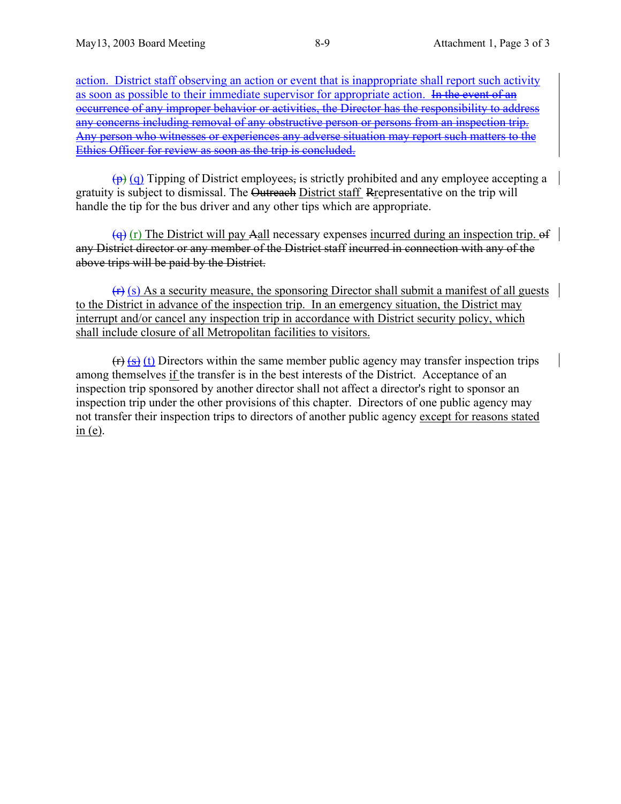action. District staff observing an action or event that is inappropriate shall report such activity as soon as possible to their immediate supervisor for appropriate action. In the event of an occurrence of any improper behavior or activities, the Director has the responsibility to address any concerns including removal of any obstructive person or persons from an inspection trip. Any person who witnesses or experiences any adverse situation may report such matters to the Ethics Officer for review as soon as the trip is concluded.

 $\overline{p}(q)$  Tipping of District employees, is strictly prohibited and any employee accepting a gratuity is subject to dismissal. The Outreach District staff Representative on the trip will handle the tip for the bus driver and any other tips which are appropriate.

 $\left(\frac{q}{r}\right)$  (r) The District will pay Aall necessary expenses incurred during an inspection trip. of any District director or any member of the District staff incurred in connection with any of the above trips will be paid by the District.

 $(r)$  (s) As a security measure, the sponsoring Director shall submit a manifest of all guests to the District in advance of the inspection trip. In an emergency situation, the District may interrupt and/or cancel any inspection trip in accordance with District security policy, which shall include closure of all Metropolitan facilities to visitors.

 $(r)$  (s) (t) Directors within the same member public agency may transfer inspection trips among themselves if the transfer is in the best interests of the District. Acceptance of an inspection trip sponsored by another director shall not affect a director's right to sponsor an inspection trip under the other provisions of this chapter. Directors of one public agency may not transfer their inspection trips to directors of another public agency except for reasons stated in  $(e)$ .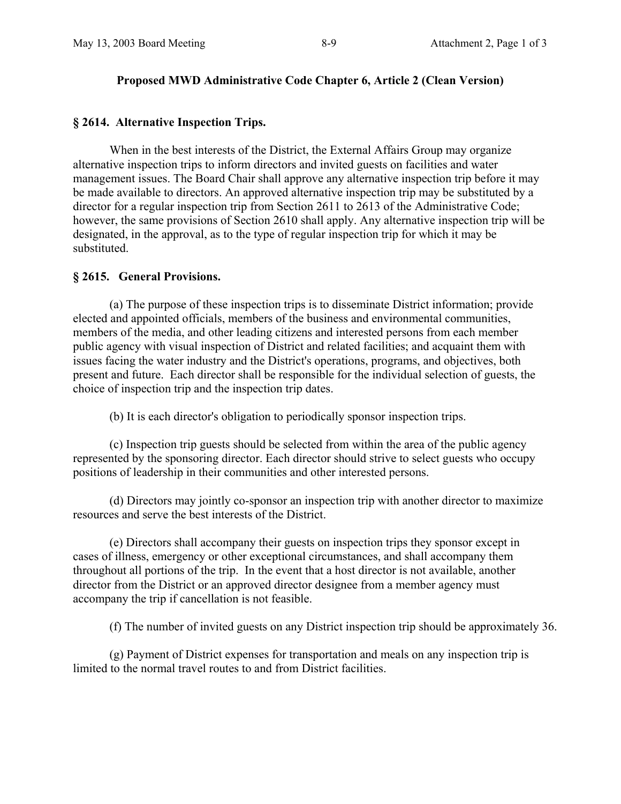#### **Proposed MWD Administrative Code Chapter 6, Article 2 (Clean Version)**

#### **§ 2614. Alternative Inspection Trips.**

 When in the best interests of the District, the External Affairs Group may organize alternative inspection trips to inform directors and invited guests on facilities and water management issues. The Board Chair shall approve any alternative inspection trip before it may be made available to directors. An approved alternative inspection trip may be substituted by a director for a regular inspection trip from Section 2611 to 2613 of the Administrative Code; however, the same provisions of Section 2610 shall apply. Any alternative inspection trip will be designated, in the approval, as to the type of regular inspection trip for which it may be substituted.

#### **§ 2615. General Provisions.**

 (a) The purpose of these inspection trips is to disseminate District information; provide elected and appointed officials, members of the business and environmental communities, members of the media, and other leading citizens and interested persons from each member public agency with visual inspection of District and related facilities; and acquaint them with issues facing the water industry and the District's operations, programs, and objectives, both present and future. Each director shall be responsible for the individual selection of guests, the choice of inspection trip and the inspection trip dates.

(b) It is each director's obligation to periodically sponsor inspection trips.

 (c) Inspection trip guests should be selected from within the area of the public agency represented by the sponsoring director. Each director should strive to select guests who occupy positions of leadership in their communities and other interested persons.

(d) Directors may jointly co-sponsor an inspection trip with another director to maximize resources and serve the best interests of the District.

 (e) Directors shall accompany their guests on inspection trips they sponsor except in cases of illness, emergency or other exceptional circumstances, and shall accompany them throughout all portions of the trip. In the event that a host director is not available, another director from the District or an approved director designee from a member agency must accompany the trip if cancellation is not feasible.

(f) The number of invited guests on any District inspection trip should be approximately 36.

 (g) Payment of District expenses for transportation and meals on any inspection trip is limited to the normal travel routes to and from District facilities.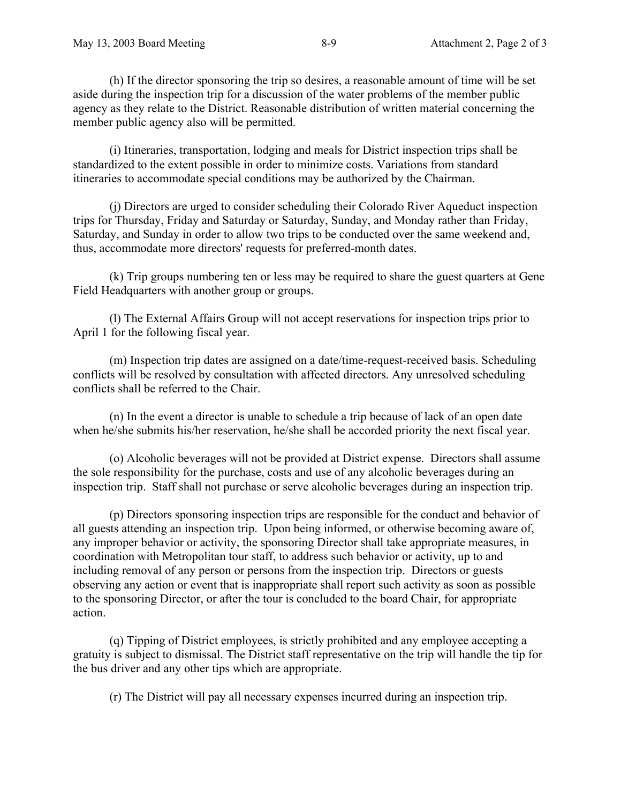(h) If the director sponsoring the trip so desires, a reasonable amount of time will be set aside during the inspection trip for a discussion of the water problems of the member public agency as they relate to the District. Reasonable distribution of written material concerning the member public agency also will be permitted.

 (i) Itineraries, transportation, lodging and meals for District inspection trips shall be standardized to the extent possible in order to minimize costs. Variations from standard itineraries to accommodate special conditions may be authorized by the Chairman.

 (j) Directors are urged to consider scheduling their Colorado River Aqueduct inspection trips for Thursday, Friday and Saturday or Saturday, Sunday, and Monday rather than Friday, Saturday, and Sunday in order to allow two trips to be conducted over the same weekend and, thus, accommodate more directors' requests for preferred-month dates.

 (k) Trip groups numbering ten or less may be required to share the guest quarters at Gene Field Headquarters with another group or groups.

 (l) The External Affairs Group will not accept reservations for inspection trips prior to April 1 for the following fiscal year.

 (m) Inspection trip dates are assigned on a date/time-request-received basis. Scheduling conflicts will be resolved by consultation with affected directors. Any unresolved scheduling conflicts shall be referred to the Chair.

 (n) In the event a director is unable to schedule a trip because of lack of an open date when he/she submits his/her reservation, he/she shall be accorded priority the next fiscal year.

 (o) Alcoholic beverages will not be provided at District expense. Directors shall assume the sole responsibility for the purchase, costs and use of any alcoholic beverages during an inspection trip. Staff shall not purchase or serve alcoholic beverages during an inspection trip.

 (p) Directors sponsoring inspection trips are responsible for the conduct and behavior of all guests attending an inspection trip. Upon being informed, or otherwise becoming aware of, any improper behavior or activity, the sponsoring Director shall take appropriate measures, in coordination with Metropolitan tour staff, to address such behavior or activity, up to and including removal of any person or persons from the inspection trip. Directors or guests observing any action or event that is inappropriate shall report such activity as soon as possible to the sponsoring Director, or after the tour is concluded to the board Chair, for appropriate action.

 (q) Tipping of District employees, is strictly prohibited and any employee accepting a gratuity is subject to dismissal. The District staff representative on the trip will handle the tip for the bus driver and any other tips which are appropriate.

(r) The District will pay all necessary expenses incurred during an inspection trip.